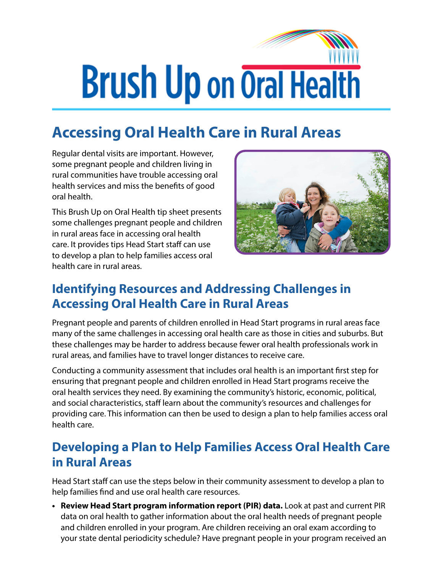## **Brush Up on Oral Health**

## **Accessing Oral Health Care in Rural Areas**

Regular dental visits are important. However, some pregnant people and children living in rural communities have trouble accessing oral health services and miss the benefits of good oral health.

This Brush Up on Oral Health tip sheet presents some challenges pregnant people and children in rural areas face in accessing oral health care. It provides tips Head Start staff can use to develop a plan to help families access oral health care in rural areas.



## **Identifying Resources and Addressing Challenges in Accessing Oral Health Care in Rural Areas**

Pregnant people and parents of children enrolled in Head Start programs in rural areas face many of the same challenges in accessing oral health care as those in cities and suburbs. But these challenges may be harder to address because fewer oral health professionals work in rural areas, and families have to travel longer distances to receive care.

Conducting a community assessment that includes oral health is an important first step for ensuring that pregnant people and children enrolled in Head Start programs receive the oral health services they need. By examining the community's historic, economic, political, and social characteristics, staff learn about the community's resources and challenges for providing care. This information can then be used to design a plan to help families access oral health care.

## **Developing a Plan to Help Families Access Oral Health Care in Rural Areas**

Head Start staff can use the steps below in their community assessment to develop a plan to help families find and use oral health care resources.

**• Review Head Start program information report (PIR) data.** Look at past and current PIR data on oral health to gather information about the oral health needs of pregnant people and children enrolled in your program. Are children receiving an oral exam according to your state dental periodicity schedule? Have pregnant people in your program received an